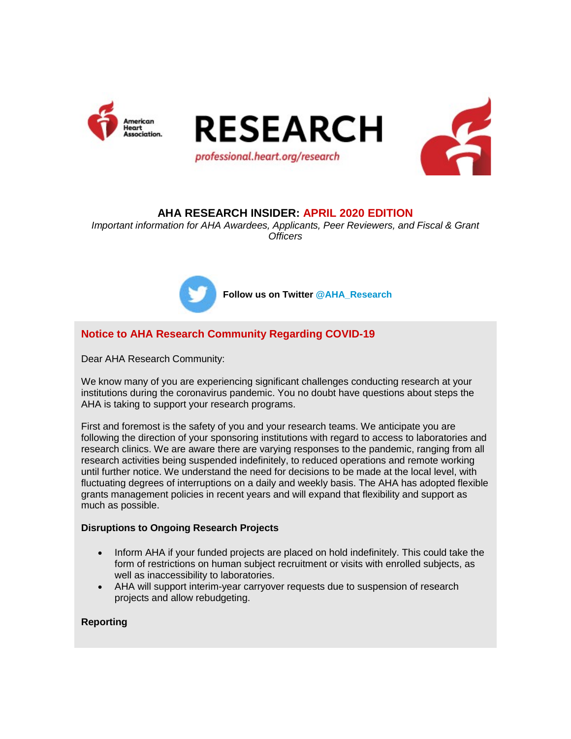





# **AHA RESEARCH INSIDER: APRIL 2020 EDITION**

*Important information for AHA Awardees, Applicants, Peer Reviewers, and Fiscal & Grant Officers*



**Follow us on Twitter @AHA\_Research**

# **Notice to AHA Research Community Regarding COVID-19**

Dear AHA Research Community:

We know many of you are experiencing significant challenges conducting research at your institutions during the coronavirus pandemic. You no doubt have questions about steps the AHA is taking to support your research programs.

First and foremost is the safety of you and your research teams. We anticipate you are following the direction of your sponsoring institutions with regard to access to laboratories and research clinics. We are aware there are varying responses to the pandemic, ranging from all research activities being suspended indefinitely, to reduced operations and remote working until further notice. We understand the need for decisions to be made at the local level, with fluctuating degrees of interruptions on a daily and weekly basis. The AHA has adopted flexible grants management policies in recent years and will expand that flexibility and support as much as possible.

## **Disruptions to Ongoing Research Projects**

- Inform AHA if your funded projects are placed on hold indefinitely. This could take the form of restrictions on human subject recruitment or visits with enrolled subjects, as well as inaccessibility to laboratories.
- AHA will support interim-year carryover requests due to suspension of research projects and allow rebudgeting.

## **Reporting**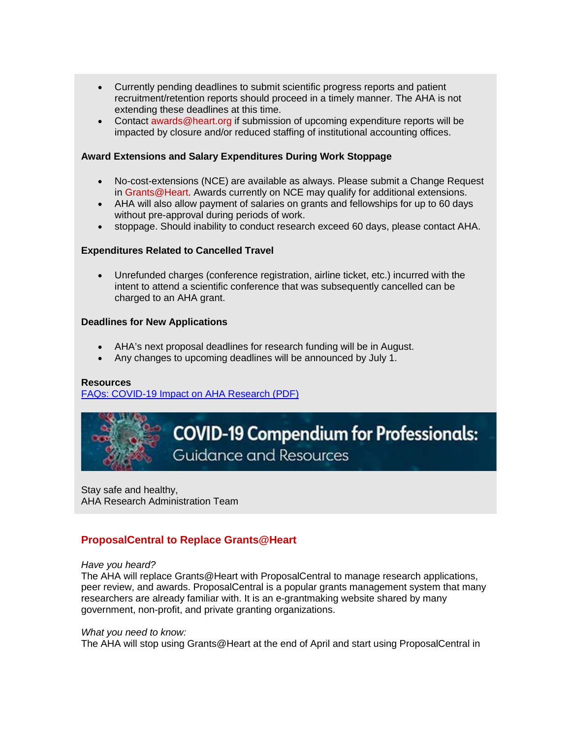- Currently pending deadlines to submit scientific progress reports and patient recruitment/retention reports should proceed in a timely manner. The AHA is not extending these deadlines at this time.
- Contact awards@heart.org if submission of upcoming expenditure reports will be impacted by closure and/or reduced staffing of institutional accounting offices.

## **Award Extensions and Salary Expenditures During Work Stoppage**

- No-cost-extensions (NCE) are available as always. Please submit a Change Request in Grants@Heart. Awards currently on NCE may qualify for additional extensions.
- AHA will also allow payment of salaries on grants and fellowships for up to 60 days without pre-approval during periods of work.
- stoppage. Should inability to conduct research exceed 60 days, please contact AHA.

### **Expenditures Related to Cancelled Travel**

• Unrefunded charges (conference registration, airline ticket, etc.) incurred with the intent to attend a scientific conference that was subsequently cancelled can be charged to an AHA grant.

### **Deadlines for New Applications**

- AHA's next proposal deadlines for research funding will be in August.
- Any changes to upcoming deadlines will be announced by July 1.

### **Resources**

FAQs: COVID-19 Impact on AHA Research (PDF)



# **COVID-19 Compendium for Professionals: Guidance and Resources**

Stay safe and healthy, AHA Research Administration Team

# **ProposalCentral to Replace Grants@Heart**

### *Have you heard?*

The AHA will replace Grants@Heart with ProposalCentral to manage research applications, peer review, and awards. ProposalCentral is a popular grants management system that many researchers are already familiar with. It is an e-grantmaking website shared by many government, non-profit, and private granting organizations.

### *What you need to know:*

The AHA will stop using Grants@Heart at the end of April and start using ProposalCentral in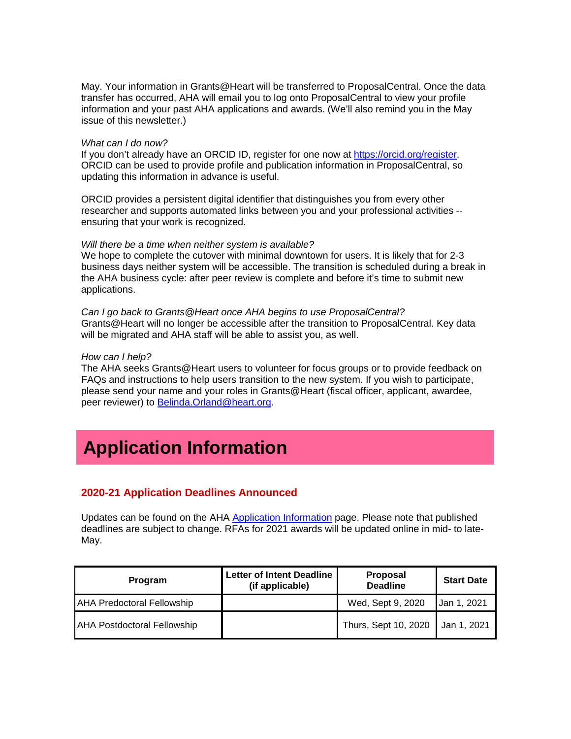May. Your information in Grants@Heart will be transferred to ProposalCentral. Once the data transfer has occurred, AHA will email you to log onto ProposalCentral to view your profile information and your past AHA applications and awards. (We'll also remind you in the May issue of this newsletter.)

#### *What can I do now?*

If you don't already have an ORCID ID, register for one now at https://orcid.org/register. ORCID can be used to provide profile and publication information in ProposalCentral, so updating this information in advance is useful.

ORCID provides a persistent digital identifier that distinguishes you from every other researcher and supports automated links between you and your professional activities - ensuring that your work is recognized.

#### *Will there be a time when neither system is available?*

We hope to complete the cutover with minimal downtown for users. It is likely that for 2-3 business days neither system will be accessible. The transition is scheduled during a break in the AHA business cycle: after peer review is complete and before it's time to submit new applications.

*Can I go back to Grants@Heart once AHA begins to use ProposalCentral?* Grants@Heart will no longer be accessible after the transition to ProposalCentral. Key data will be migrated and AHA staff will be able to assist you, as well.

#### *How can I help?*

The AHA seeks Grants@Heart users to volunteer for focus groups or to provide feedback on FAQs and instructions to help users transition to the new system. If you wish to participate, please send your name and your roles in Grants@Heart (fiscal officer, applicant, awardee, peer reviewer) to Belinda.Orland@heart.org.

# **Application Information**

# **2020-21 Application Deadlines Announced**

Updates can be found on the AHA Application Information page. Please note that published deadlines are subject to change. RFAs for 2021 awards will be updated online in mid- to late-May.

| Program                            | <b>Letter of Intent Deadline</b><br>(if applicable) | <b>Proposal</b><br><b>Deadline</b> | <b>Start Date</b> |
|------------------------------------|-----------------------------------------------------|------------------------------------|-------------------|
| <b>AHA Predoctoral Fellowship</b>  |                                                     | Wed, Sept 9, 2020                  | Jan 1, 2021       |
| <b>AHA Postdoctoral Fellowship</b> |                                                     | Thurs, Sept 10, 2020               | Jan 1, 2021       |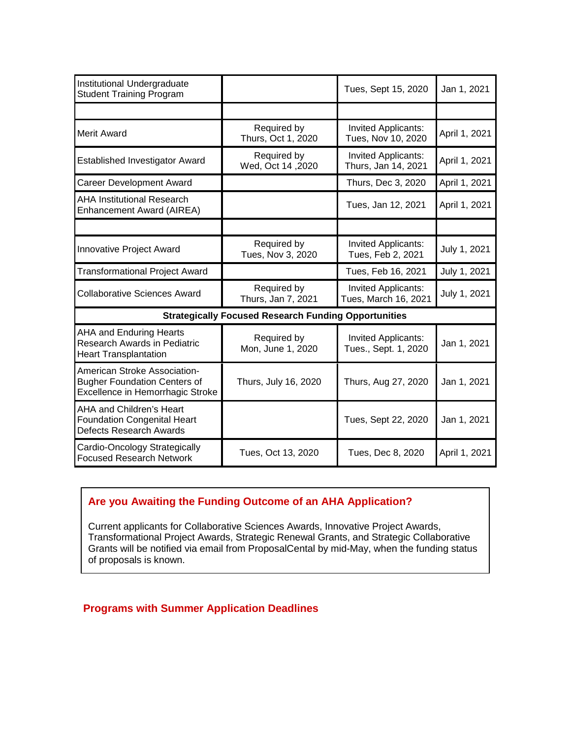| Institutional Undergraduate<br><b>Student Training Program</b>                                          |                                   | Tues, Sept 15, 2020                              | Jan 1, 2021   |  |
|---------------------------------------------------------------------------------------------------------|-----------------------------------|--------------------------------------------------|---------------|--|
|                                                                                                         |                                   |                                                  |               |  |
| <b>Merit Award</b>                                                                                      | Required by<br>Thurs, Oct 1, 2020 | <b>Invited Applicants:</b><br>Tues, Nov 10, 2020 | April 1, 2021 |  |
| <b>Established Investigator Award</b>                                                                   | Required by<br>Wed, Oct 14, 2020  | Invited Applicants:<br>Thurs, Jan 14, 2021       | April 1, 2021 |  |
| <b>Career Development Award</b>                                                                         |                                   | Thurs, Dec 3, 2020                               | April 1, 2021 |  |
| <b>AHA Institutional Research</b><br>Enhancement Award (AIREA)                                          |                                   | Tues, Jan 12, 2021                               | April 1, 2021 |  |
|                                                                                                         |                                   |                                                  |               |  |
| Innovative Project Award                                                                                | Required by<br>Tues, Nov 3, 2020  | Invited Applicants:<br>Tues, Feb 2, 2021         | July 1, 2021  |  |
| <b>Transformational Project Award</b>                                                                   |                                   | Tues, Feb 16, 2021                               | July 1, 2021  |  |
| <b>Collaborative Sciences Award</b>                                                                     | Required by<br>Thurs, Jan 7, 2021 | Invited Applicants:<br>Tues, March 16, 2021      | July 1, 2021  |  |
| <b>Strategically Focused Research Funding Opportunities</b>                                             |                                   |                                                  |               |  |
| <b>AHA and Enduring Hearts</b><br>Research Awards in Pediatric<br><b>Heart Transplantation</b>          | Required by<br>Mon, June 1, 2020  | Invited Applicants:<br>Tues., Sept. 1, 2020      | Jan 1, 2021   |  |
| American Stroke Association-<br><b>Bugher Foundation Centers of</b><br>Excellence in Hemorrhagic Stroke | Thurs, July 16, 2020              | Thurs, Aug 27, 2020                              | Jan 1, 2021   |  |
| AHA and Children's Heart<br><b>Foundation Congenital Heart</b><br><b>Defects Research Awards</b>        |                                   | Tues, Sept 22, 2020                              | Jan 1, 2021   |  |
| Cardio-Oncology Strategically<br><b>Focused Research Network</b>                                        | Tues, Oct 13, 2020                | Tues, Dec 8, 2020                                | April 1, 2021 |  |

# **Are you Awaiting the Funding Outcome of an AHA Application?**

Current applicants for Collaborative Sciences Awards, Innovative Project Awards, Transformational Project Awards, Strategic Renewal Grants, and Strategic Collaborative Grants will be notified via email from ProposalCental by mid-May, when the funding status of proposals is known.

# **Programs with Summer Application Deadlines**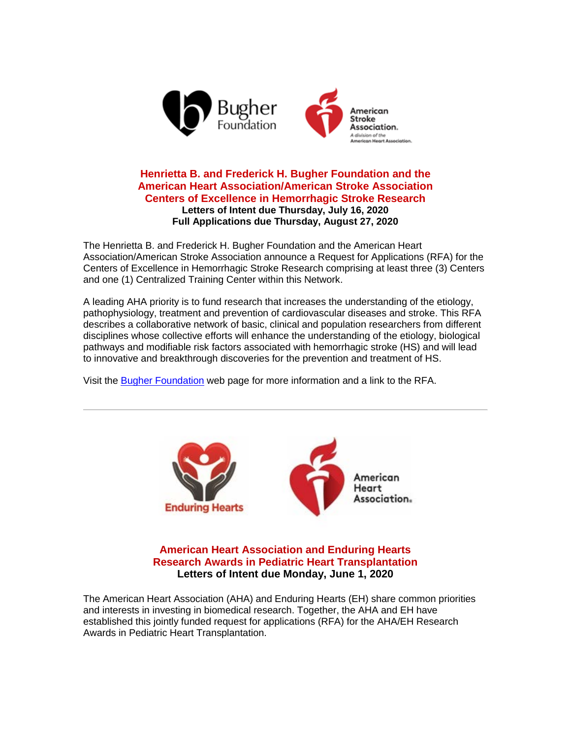

## **Henrietta B. and Frederick H. Bugher Foundation and the American Heart Association/American Stroke Association Centers of Excellence in Hemorrhagic Stroke Research Letters of Intent due Thursday, July 16, 2020 Full Applications due Thursday, August 27, 2020**

The Henrietta B. and Frederick H. Bugher Foundation and the American Heart Association/American Stroke Association announce a Request for Applications (RFA) for the Centers of Excellence in Hemorrhagic Stroke Research comprising at least three (3) Centers and one (1) Centralized Training Center within this Network.

A leading AHA priority is to fund research that increases the understanding of the etiology, pathophysiology, treatment and prevention of cardiovascular diseases and stroke. This RFA describes a collaborative network of basic, clinical and population researchers from different disciplines whose collective efforts will enhance the understanding of the etiology, biological pathways and modifiable risk factors associated with hemorrhagic stroke (HS) and will lead to innovative and breakthrough discoveries for the prevention and treatment of HS.

Visit the Bugher Foundation web page for more information and a link to the RFA.



**American Heart Association and Enduring Hearts Research Awards in Pediatric Heart Transplantation Letters of Intent due Monday, June 1, 2020**

The American Heart Association (AHA) and Enduring Hearts (EH) share common priorities and interests in investing in biomedical research. Together, the AHA and EH have established this jointly funded request for applications (RFA) for the AHA/EH Research Awards in Pediatric Heart Transplantation.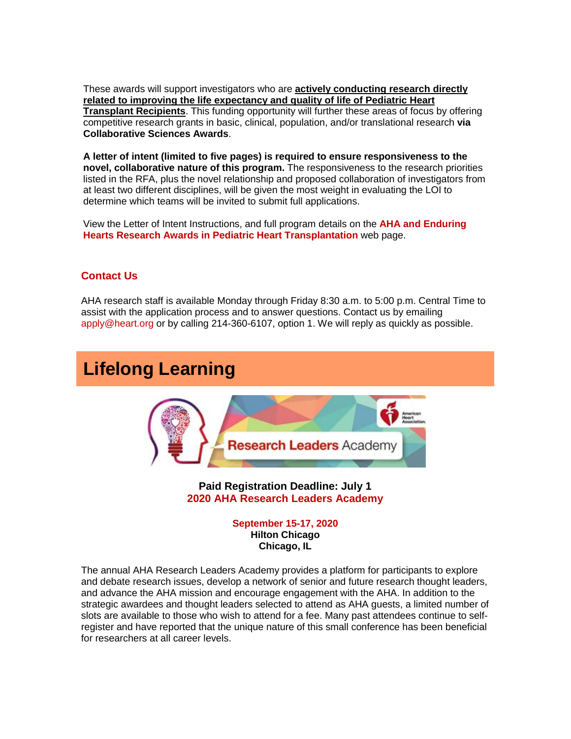These awards will support investigators who are **actively conducting research directly related to improving the life expectancy and quality of life of Pediatric Heart Transplant Recipients**. This funding opportunity will further these areas of focus by offering competitive research grants in basic, clinical, population, and/or translational research **via Collaborative Sciences Awards**.

**A letter of intent (limited to five pages) is required to ensure responsiveness to the novel, collaborative nature of this program.** The responsiveness to the research priorities listed in the RFA, plus the novel relationship and proposed collaboration of investigators from at least two different disciplines, will be given the most weight in evaluating the LOI to determine which teams will be invited to submit full applications.

View the Letter of Intent Instructions, and full program details on the **AHA and Enduring Hearts Research Awards in Pediatric Heart Transplantation** web page.

## **Contact Us**

AHA research staff is available Monday through Friday 8:30 a.m. to 5:00 p.m. Central Time to assist with the application process and to answer questions. Contact us by emailing apply@heart.org or by calling 214-360-6107, option 1. We will reply as quickly as possible.

# **Lifelong Learning**



**Paid Registration Deadline: July 1 2020 AHA Research Leaders Academy**

> **September 15-17, 2020 Hilton Chicago Chicago, IL**

The annual AHA Research Leaders Academy provides a platform for participants to explore and debate research issues, develop a network of senior and future research thought leaders, and advance the AHA mission and encourage engagement with the AHA. In addition to the strategic awardees and thought leaders selected to attend as AHA guests, a limited number of slots are available to those who wish to attend for a fee. Many past attendees continue to selfregister and have reported that the unique nature of this small conference has been beneficial for researchers at all career levels.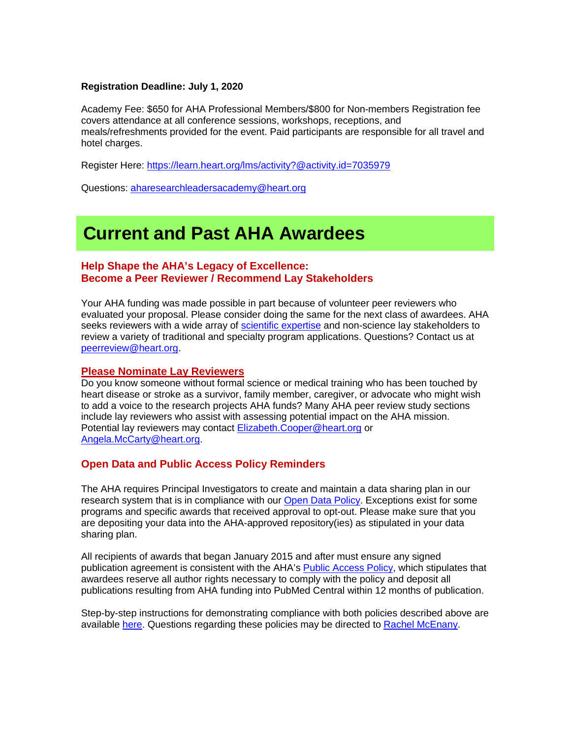## **Registration Deadline: July 1, 2020**

Academy Fee: \$650 for AHA Professional Members/\$800 for Non-members Registration fee covers attendance at all conference sessions, workshops, receptions, and meals/refreshments provided for the event. Paid participants are responsible for all travel and hotel charges.

Register Here: https://learn.heart.org/lms/activity?@activity.id=7035979

Questions: aharesearchleadersacademy@heart.org

# **Current and Past AHA Awardees**

## **Help Shape the AHA's Legacy of Excellence: Become a Peer Reviewer / Recommend Lay Stakeholders**

Your AHA funding was made possible in part because of volunteer peer reviewers who evaluated your proposal. Please consider doing the same for the next class of awardees. AHA seeks reviewers with a wide array of scientific expertise and non-science lay stakeholders to review a variety of traditional and specialty program applications. Questions? Contact us at peerreview@heart.org.

### **Please Nominate Lay Reviewers**

Do you know someone without formal science or medical training who has been touched by heart disease or stroke as a survivor, family member, caregiver, or advocate who might wish to add a voice to the research projects AHA funds? Many AHA peer review study sections include lay reviewers who assist with assessing potential impact on the AHA mission. Potential lay reviewers may contact Elizabeth.Cooper@heart.org or Angela.McCarty@heart.org.

## **Open Data and Public Access Policy Reminders**

The AHA requires Principal Investigators to create and maintain a data sharing plan in our research system that is in compliance with our Open Data Policy. Exceptions exist for some programs and specific awards that received approval to opt-out. Please make sure that you are depositing your data into the AHA-approved repository(ies) as stipulated in your data sharing plan.

All recipients of awards that began January 2015 and after must ensure any signed publication agreement is consistent with the AHA's Public Access Policy, which stipulates that awardees reserve all author rights necessary to comply with the policy and deposit all publications resulting from AHA funding into PubMed Central within 12 months of publication.

Step-by-step instructions for demonstrating compliance with both policies described above are available here. Questions regarding these policies may be directed to Rachel McEnany.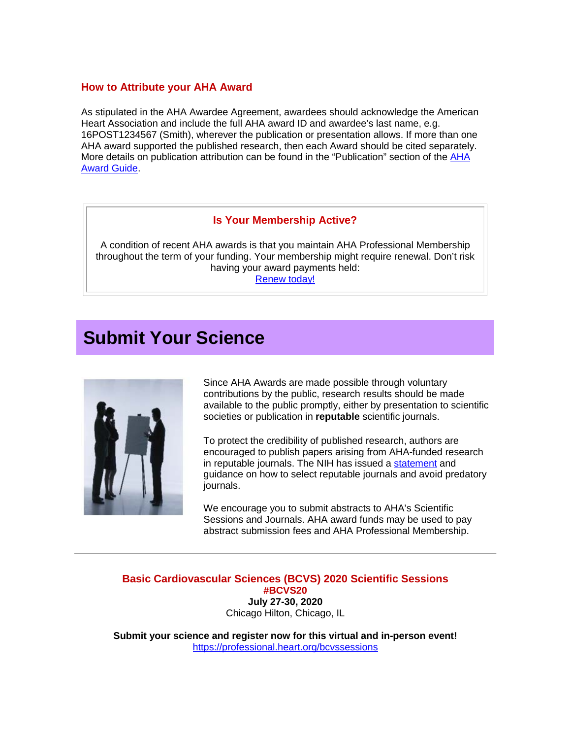# **How to Attribute your AHA Award**

As stipulated in the AHA Awardee Agreement, awardees should acknowledge the American Heart Association and include the full AHA award ID and awardee's last name, e.g. 16POST1234567 (Smith), wherever the publication or presentation allows. If more than one AHA award supported the published research, then each Award should be cited separately. More details on publication attribution can be found in the "Publication" section of the AHA Award Guide.

## **Is Your Membership Active?**

A condition of recent AHA awards is that you maintain AHA Professional Membership throughout the term of your funding. Your membership might require renewal. Don't risk having your award payments held: Renew today!

# **Submit Your Science**



Since AHA Awards are made possible through voluntary contributions by the public, research results should be made available to the public promptly, either by presentation to scientific societies or publication in **reputable** scientific journals.

To protect the credibility of published research, authors are encouraged to publish papers arising from AHA-funded research in reputable journals. The NIH has issued a statement and guidance on how to select reputable journals and avoid predatory journals.

We encourage you to submit abstracts to AHA's Scientific Sessions and Journals. AHA award funds may be used to pay abstract submission fees and AHA Professional Membership.

**Basic Cardiovascular Sciences (BCVS) 2020 Scientific Sessions #BCVS20 July 27-30, 2020** Chicago Hilton, Chicago, IL

**Submit your science and register now for this virtual and in-person event!** https://professional.heart.org/bcvssessions